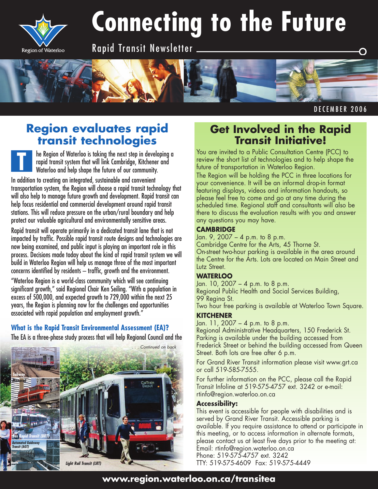

**T**

# **Connecting to the Future**

Rapid Transit Newsletter



DECEMBER 2006

## **Region evaluates rapid transit technologies**

he Region of Waterloo is taking the next step in developing a rapid transit system that will link Cambridge, Kitchener and Waterloo and help shape the future of our community.

In addition to creating an integrated, sustainable and convenient transportation system, the Region will choose a rapid transit technology that will also help to manage future growth and development. Rapid transit can help focus residential and commercial development around rapid transit stations. This will reduce pressure on the urban/rural boundary and help protect our valuable agricultural and environmentally sensitive areas.

Rapid transit will operate primarily in a dedicated transit lane that is not impacted by traffic. Possible rapid transit route designs and technologies are now being examined, and public input is playing an important role in this process. Decisions made today about the kind of rapid transit system we will build in Waterloo Region will help us manage three of the most important concerns identified by residents – traffic, growth and the environment.

"Waterloo Region is a world-class community which will see continuing significant growth," said Regional Chair Ken Seiling. "With a population in excess of 500,000, and expected growth to 729,000 within the next 25 years, the Region is planning now for the challenges and opportunities associated with rapid population and employment growth."

## **What is the Rapid Transit Environmental Assessment (EA)?**

The EA is a three-phase study process that will help Regional Council and the



## **Get Involved in the Rapid Transit Initiative!**

You are invited to a Public Consultation Centre (PCC) to review the short list of technologies and to help shape the future of transportation in Waterloo Region.

The Region will be holding the PCC in three locations for your convenience. It will be an informal drop-in format featuring displays, videos and information handouts, so please feel free to come and go at any time during the scheduled time. Regional staff and consultants will also be there to discuss the evaluation results with you and answer any questions you may have.

### **CAMBRIDGE**

Jan. 9, 2007 – 4 p.m. to 8 p.m.

Cambridge Centre for the Arts, 45 Thorne St. On-street two-hour parking is available in the area around the Centre for the Arts. Lots are located on Main Street and Lutz Street.

## **WATERLOO**

Jan. 10, 2007 – 4 p.m. to 8 p.m. Regional Public Health and Social Services Building, 99 Regina St.

Two hour free parking is available at Waterloo Town Square.

### **KITCHENER**

Jan. 11, 2007 – 4 p.m. to 8 p.m. Regional Administrative Headquarters, 150 Frederick St. Parking is available under the building accessed from Frederick Street or behind the building accessed from Queen Street. Both lots are free after 6 p.m.

For Grand River Transit information please visit www.grt.ca or call 519-585-7555.

For further information on the PCC, please call the Rapid Transit Infoline at 519-575-4757 ext. 3242 or e-mail: rtinfo@region.waterloo.on.ca

### **Accessibility:**

This event is accessible for people with disabilities and is served by Grand River Transit. Accessible parking is available. If you require assistance to attend or participate in this meeting, or to access information in alternate formats, please contact us at least five days prior to the meeting at: Email: rtinfo@region.waterloo.on.ca Phone: 519-575-4757 ext. 3242 TTY: 519-575-4609 Fax: 519-575-4449

## **www.region.waterloo.on.ca/transitea**